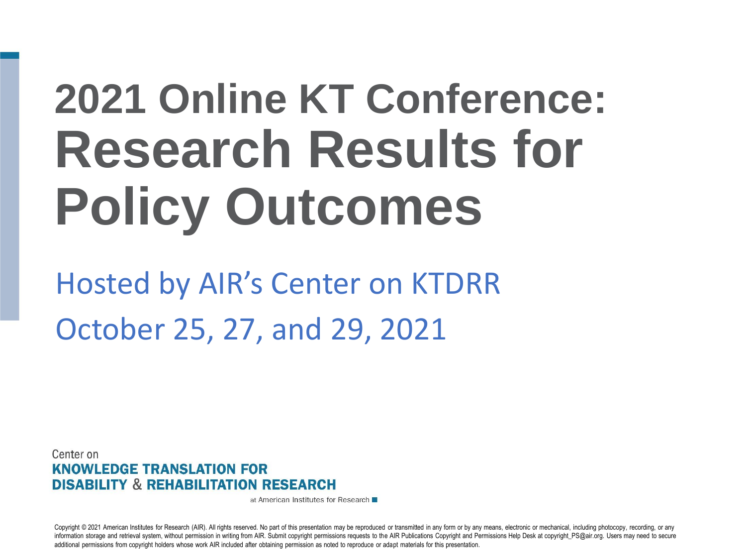# **2021 Online KT Conference: Research Results for Policy Outcomes**

Hosted by AIR's Center on KTDRR October 25, 27, and 29, 2021

Center on **KNOWLEDGE TRANSLATION FOR DISABILITY & REHABILITATION RESEARCH** 

at American Institutes for Research ■

Copyright © 2021 American Institutes for Research (AIR). All rights reserved. No part of this presentation may be reproduced or transmitted in any form or by any means, electronic or mechanical, including photocopy, record information storage and retrieval system, without permission in writing from AIR. Submit copyright permissions requests to the AIR Publications Copyright and Permissions Help Desk at copyright PS@air.org. Users may need to additional permissions from copyright holders whose work AIR included after obtaining permission as noted to reproduce or adapt materials for this presentation.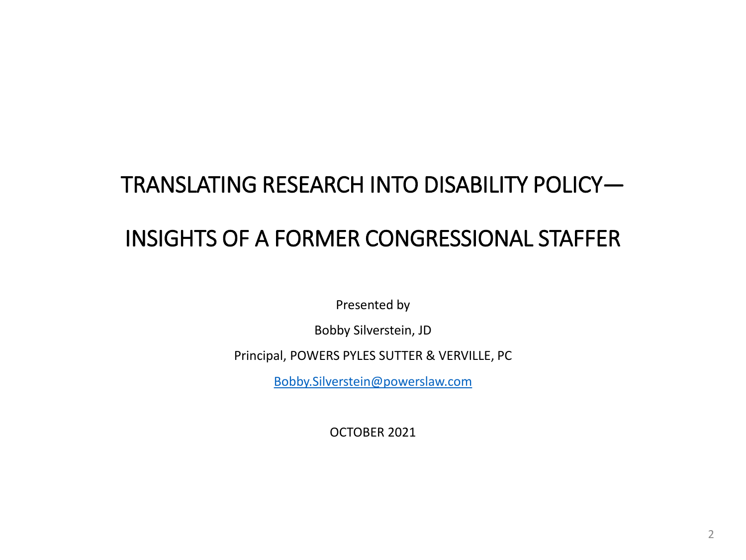#### TRANSLATING RESEARCH INTO DISABILITY POLICY— INSIGHTS OF A FORMER CONGRESSIONAL STAFFER

Presented by

Bobby Silverstein, JD

Principal, POWERS PYLES SUTTER & VERVILLE, PC

[Bobby.Silverstein@powerslaw.com](mailto:Bobby.Silversein@powerslaw.com)

OCTOBER 2021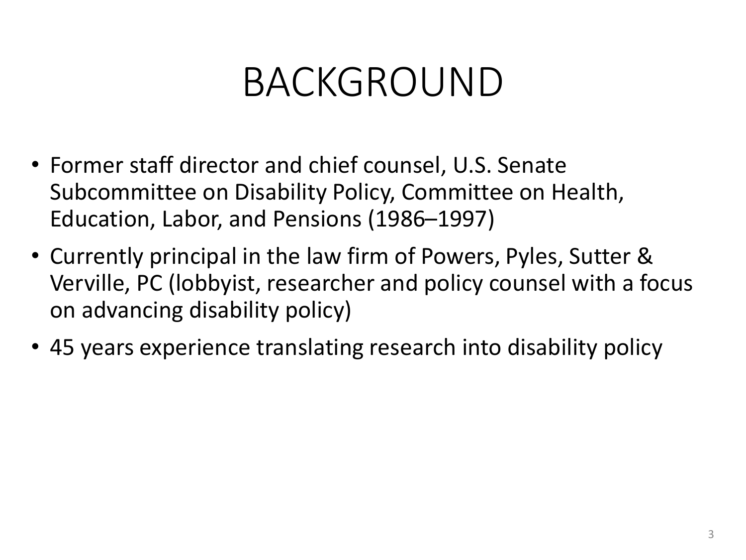#### BACKGROUND

- Former staff director and chief counsel, U.S. Senate Subcommittee on Disability Policy, Committee on Health, Education, Labor, and Pensions (1986–1997)
- Currently principal in the law firm of Powers, Pyles, Sutter & Verville, PC (lobbyist, researcher and policy counsel with a focus on advancing disability policy)
- 45 years experience translating research into disability policy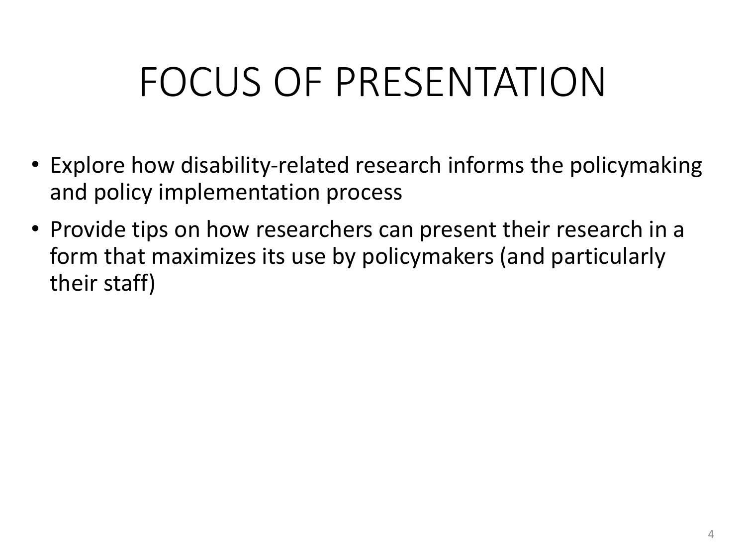### FOCUS OF PRESENTATION

- Explore how disability-related research informs the policymaking and policy implementation process
- Provide tips on how researchers can present their research in a form that maximizes its use by policymakers (and particularly their staff)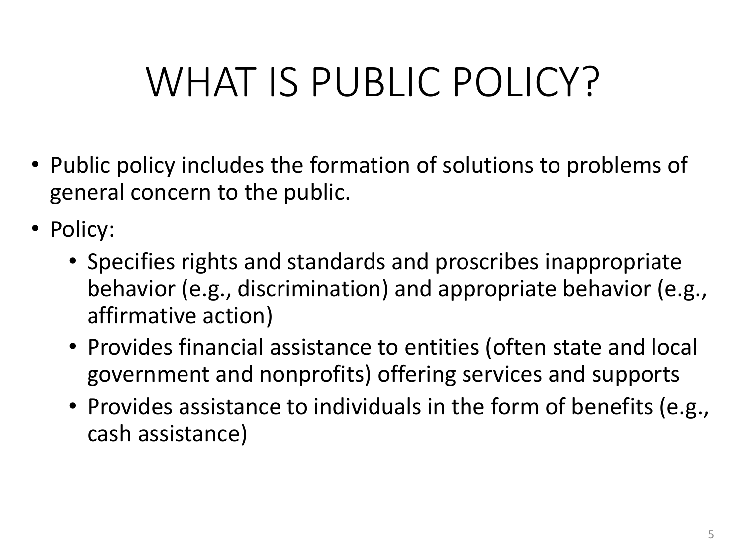#### WHAT IS PUBLIC POLICY?

- Public policy includes the formation of solutions to problems of general concern to the public.
- Policy:
	- Specifies rights and standards and proscribes inappropriate behavior (e.g., discrimination) and appropriate behavior (e.g., affirmative action)
	- Provides financial assistance to entities (often state and local government and nonprofits) offering services and supports
	- Provides assistance to individuals in the form of benefits (e.g., cash assistance)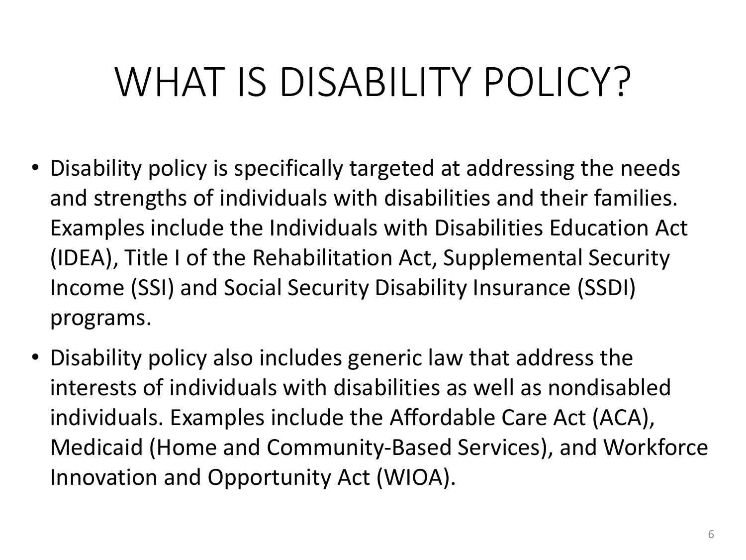#### WHAT IS DISABILITY POLICY?

- Disability policy is specifically targeted at addressing the needs and strengths of individuals with disabilities and their families. Examples include the Individuals with Disabilities Education Act (IDEA), Title I of the Rehabilitation Act, Supplemental Security Income (SSI) and Social Security Disability Insurance (SSDI) programs.
- Disability policy also includes generic law that address the interests of individuals with disabilities as well as nondisabled individuals. Examples include the Affordable Care Act (ACA), Medicaid (Home and Community-Based Services), and Workforce Innovation and Opportunity Act (WIOA).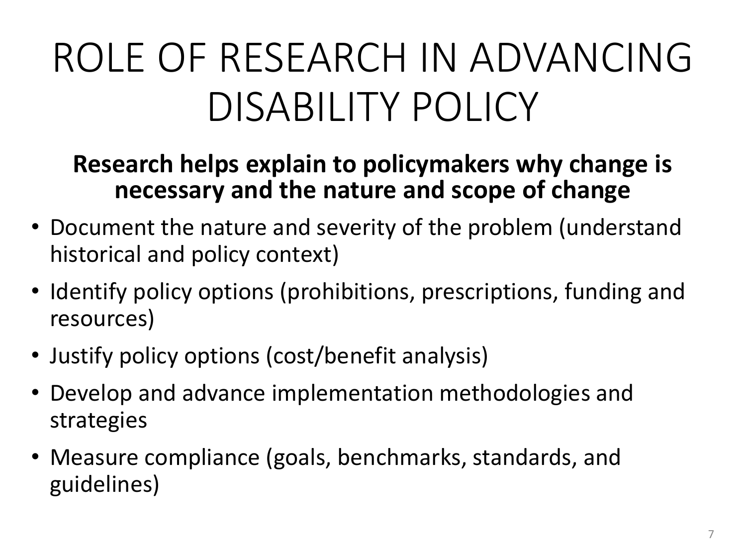## ROLE OF RESEARCH IN ADVANCING DISABILITY POLICY

#### **Research helps explain to policymakers why change is necessary and the nature and scope of change**

- Document the nature and severity of the problem (understand historical and policy context)
- Identify policy options (prohibitions, prescriptions, funding and resources)
- Justify policy options (cost/benefit analysis)
- Develop and advance implementation methodologies and strategies
- Measure compliance (goals, benchmarks, standards, and guidelines)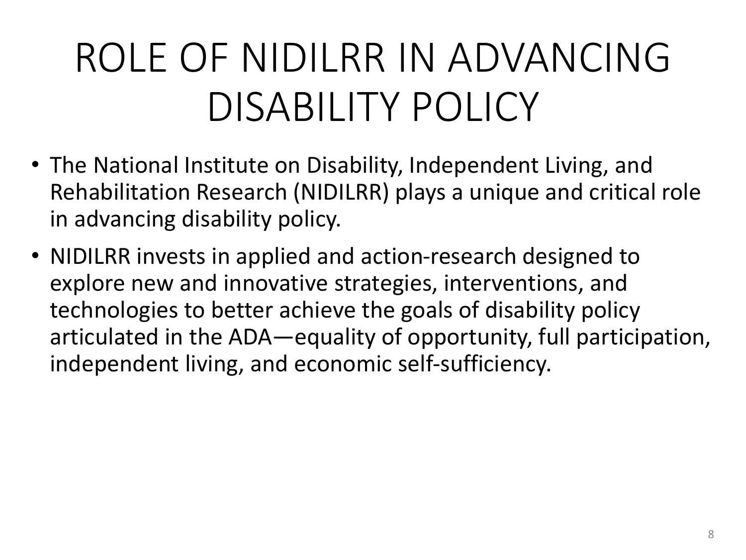## ROLE OF NIDILRR IN ADVANCING DISABILITY POLICY

- The National Institute on Disability, Independent Living, and Rehabilitation Research (NIDILRR) plays a unique and critical role in advancing disability policy.
- NIDILRR invests in applied and action-research designed to explore new and innovative strategies, interventions, and technologies to better achieve the goals of disability policy articulated in the ADA—equality of opportunity, full participation, independent living, and economic self-sufficiency.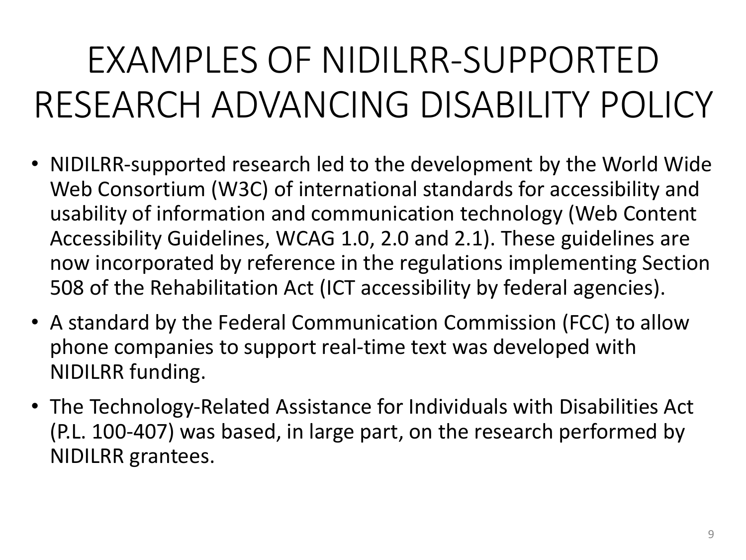#### EXAMPLES OF NIDILRR-SUPPORTED RESEARCH ADVANCING DISABILITY POLICY

- NIDILRR-supported research led to the development by the World Wide Web Consortium (W3C) of international standards for accessibility and usability of information and communication technology (Web Content Accessibility Guidelines, WCAG 1.0, 2.0 and 2.1). These guidelines are now incorporated by reference in the regulations implementing Section 508 of the Rehabilitation Act (ICT accessibility by federal agencies).
- A standard by the Federal Communication Commission (FCC) to allow phone companies to support real-time text was developed with NIDILRR funding.
- The Technology-Related Assistance for Individuals with Disabilities Act (P.L. 100-407) was based, in large part, on the research performed by NIDILRR grantees.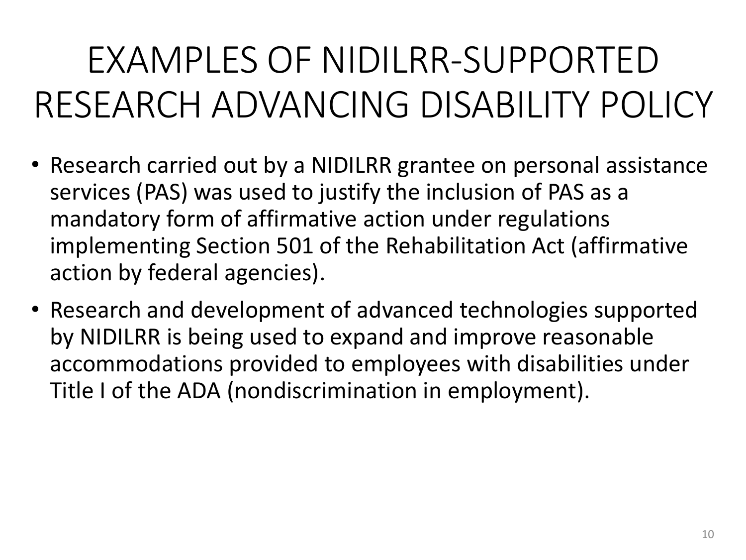#### EXAMPLES OF NIDILRR-SUPPORTED RESEARCH ADVANCING DISABILITY POLICY

- Research carried out by a NIDILRR grantee on personal assistance services (PAS) was used to justify the inclusion of PAS as a mandatory form of affirmative action under regulations implementing Section 501 of the Rehabilitation Act (affirmative action by federal agencies).
- Research and development of advanced technologies supported by NIDILRR is being used to expand and improve reasonable accommodations provided to employees with disabilities under Title I of the ADA (nondiscrimination in employment).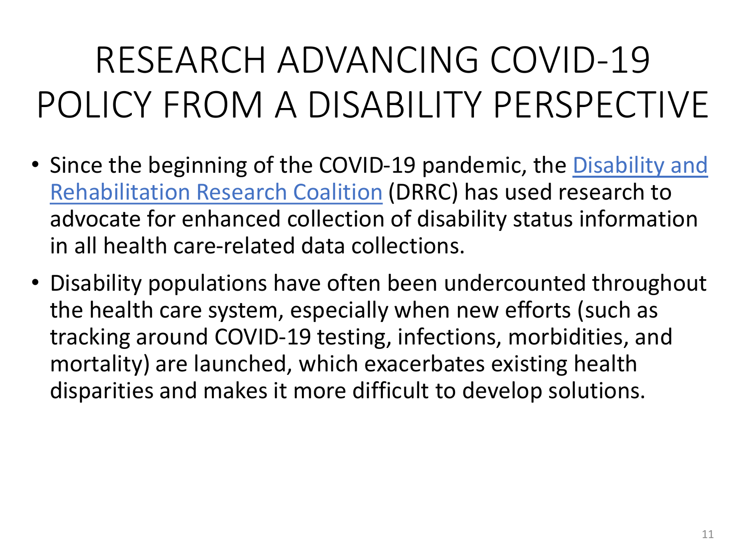#### RESEARCH ADVANCING COVID-19 POLICY FROM A DISABILITY PERSPECTIVE

- Since the beginning of the COVID-19 pandemic, the [Disability and](https://drrc-coalition.org/)  [Rehabilitation Research Coalition](https://drrc-coalition.org/) (DRRC) has used research to advocate for enhanced collection of disability status information in all health care-related data collections.
- Disability populations have often been undercounted throughout the health care system, especially when new efforts (such as tracking around COVID-19 testing, infections, morbidities, and mortality) are launched, which exacerbates existing health disparities and makes it more difficult to develop solutions.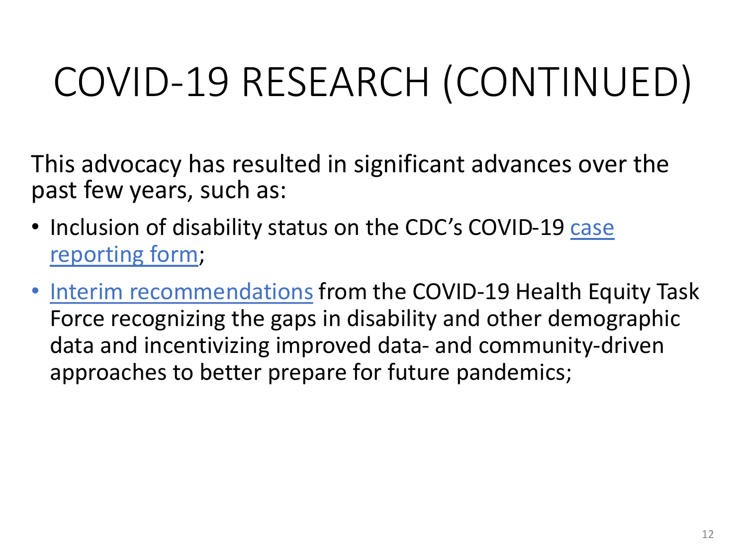## COVID-19 RESEARCH (CONTINUED)

This advocacy has resulted in significant advances over the past few years, such as:

- Inclusion of disability status on the CDC's COVID-19 case [reporting form;](https://www.cdc.gov/coronavirus/2019-ncov/php/reporting-pui.html)
- [Interim recommendations](https://www.minorityhealth.hhs.gov/Assets/PDF/July-COVID19HETFSubcommitteesRecommendations-073021_rev508_final.pdf) from the COVID-19 Health Equity Task Force recognizing the gaps in disability and other demographic data and incentivizing improved data- and community-driven approaches to better prepare for future pandemics;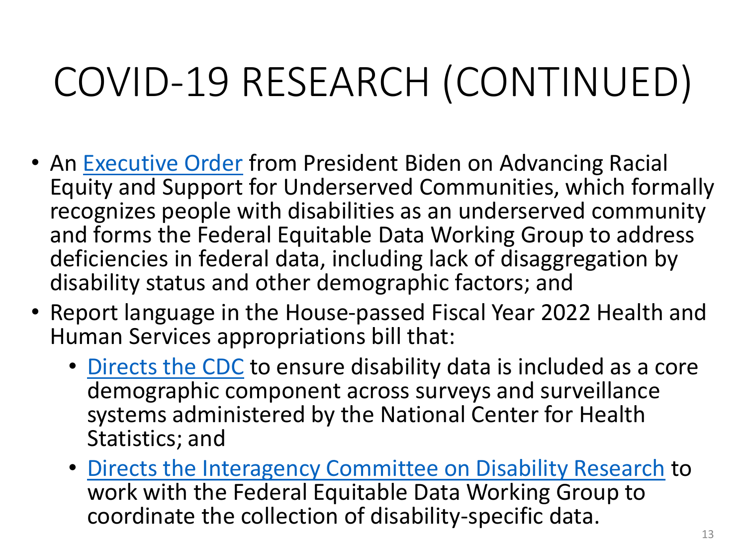## COVID-19 RESEARCH (CONTINUED)

- An [Executive Order](https://www.whitehouse.gov/briefing-room/presidential-actions/2021/01/20/executive-order-advancing-racial-equity-and-support-for-underserved-communities-through-the-federal-government/) from President Biden on Advancing Racial Equity and Support for Underserved Communities, which formally recognizes people with disabilities as an underserved community and forms the Federal Equitable Data Working Group to address deficiencies in federal data, including lack of disaggregation by disability status and other demographic factors; and
- Report language in the House-passed Fiscal Year 2022 Health and Human Services appropriations bill that:
	- [Directs the CDC](https://docs.house.gov/meetings/AP/AP00/20210715/113908/HMKP-117-AP00-20210715-SD003.pdf#page=95) to ensure disability data is included as a core demographic component across surveys and surveillance systems administered by the National Center for Health Statistics; and
	- [Directs the Interagency Committee on Disability Research](https://docs.house.gov/meetings/AP/AP00/20210715/113908/HMKP-117-AP00-20210715-SD003.pdf#page=229) to work with the Federal Equitable Data Working Group to coordinate the collection of disability-specific data.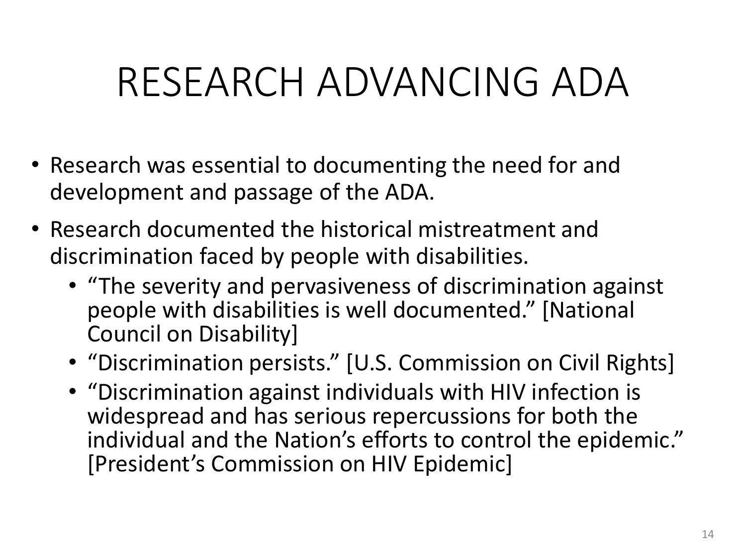#### RESEARCH ADVANCING ADA

- Research was essential to documenting the need for and development and passage of the ADA.
- Research documented the historical mistreatment and discrimination faced by people with disabilities.
	- "The severity and pervasiveness of discrimination against people with disabilities is well documented." [National Council on Disability]
	- "Discrimination persists." [U.S. Commission on Civil Rights]
	- "Discrimination against individuals with HIV infection is widespread and has serious repercussions for both the individual and the Nation's efforts to control the epidemic." [President's Commission on HIV Epidemic]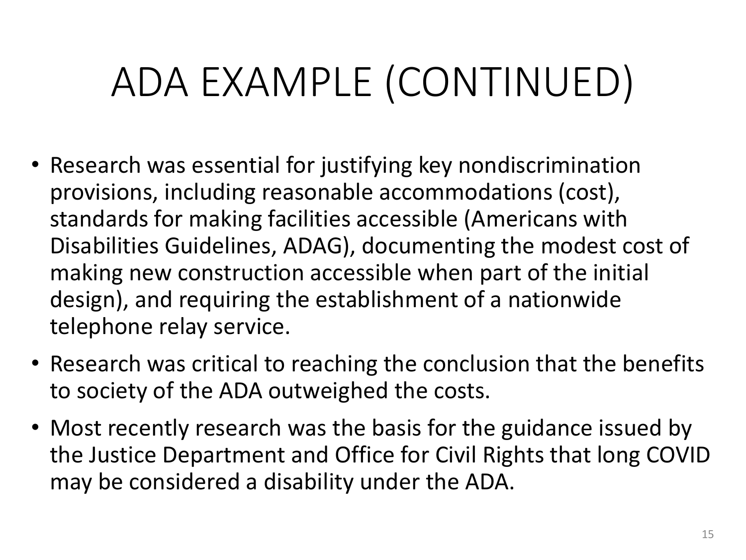## ADA EXAMPLE (CONTINUED)

- Research was essential for justifying key nondiscrimination provisions, including reasonable accommodations (cost), standards for making facilities accessible (Americans with Disabilities Guidelines, ADAG), documenting the modest cost of making new construction accessible when part of the initial design), and requiring the establishment of a nationwide telephone relay service.
- Research was critical to reaching the conclusion that the benefits to society of the ADA outweighed the costs.
- Most recently research was the basis for the guidance issued by the Justice Department and Office for Civil Rights that long COVID may be considered a disability under the ADA.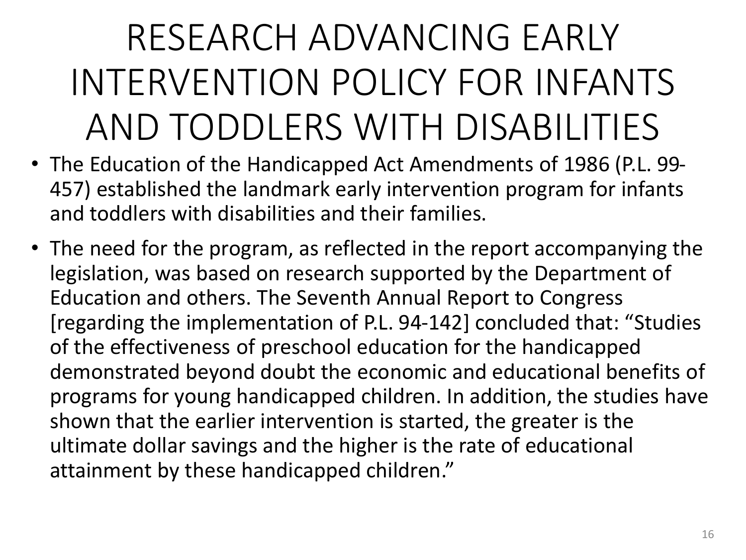#### RESEARCH ADVANCING EARLY INTERVENTION POLICY FOR INFANTS AND TODDLERS WITH DISABILITIES

- The Education of the Handicapped Act Amendments of 1986 (P.L. 99- 457) established the landmark early intervention program for infants and toddlers with disabilities and their families.
- The need for the program, as reflected in the report accompanying the legislation, was based on research supported by the Department of Education and others. The Seventh Annual Report to Congress [regarding the implementation of P.L. 94-142] concluded that: "Studies of the effectiveness of preschool education for the handicapped demonstrated beyond doubt the economic and educational benefits of programs for young handicapped children. In addition, the studies have shown that the earlier intervention is started, the greater is the ultimate dollar savings and the higher is the rate of educational attainment by these handicapped children."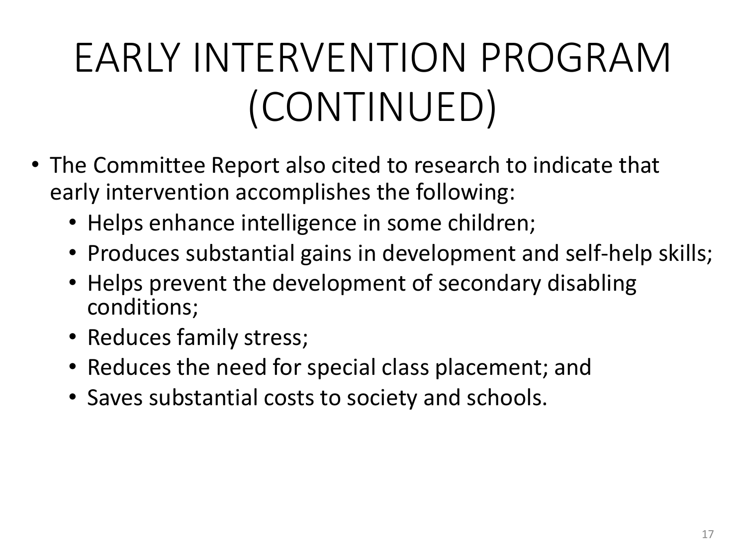## EARLY INTERVENTION PROGRAM (CONTINUED)

- The Committee Report also cited to research to indicate that early intervention accomplishes the following:
	- Helps enhance intelligence in some children;
	- Produces substantial gains in development and self-help skills;
	- Helps prevent the development of secondary disabling conditions;
	- Reduces family stress;
	- Reduces the need for special class placement; and
	- Saves substantial costs to society and schools.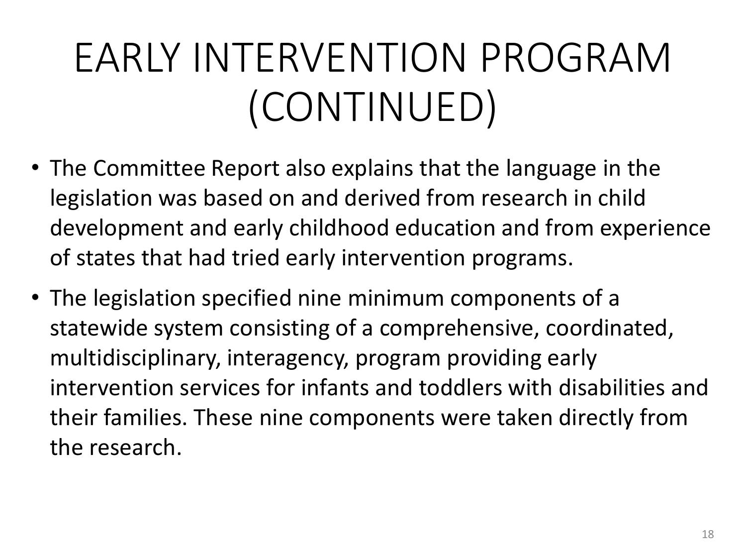## EARLY INTERVENTION PROGRAM (CONTINUED)

- The Committee Report also explains that the language in the legislation was based on and derived from research in child development and early childhood education and from experience of states that had tried early intervention programs.
- The legislation specified nine minimum components of a statewide system consisting of a comprehensive, coordinated, multidisciplinary, interagency, program providing early intervention services for infants and toddlers with disabilities and their families. These nine components were taken directly from the research.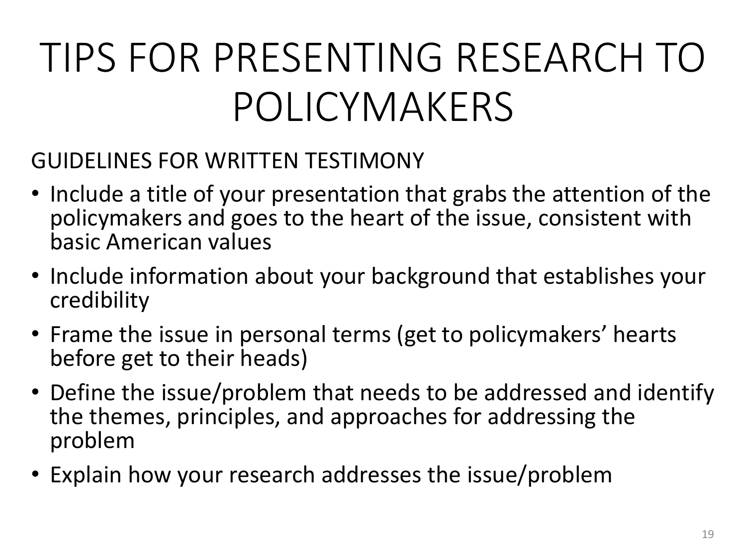## TIPS FOR PRESENTING RESEARCH TO POLICYMAKERS

#### GUIDELINES FOR WRITTEN TESTIMONY

- Include a title of your presentation that grabs the attention of the policymakers and goes to the heart of the issue, consistent with basic American values
- Include information about your background that establishes your credibility
- Frame the issue in personal terms (get to policymakers' hearts before get to their heads)
- Define the issue/problem that needs to be addressed and identify the themes, principles, and approaches for addressing the problem
- Explain how your research addresses the issue/problem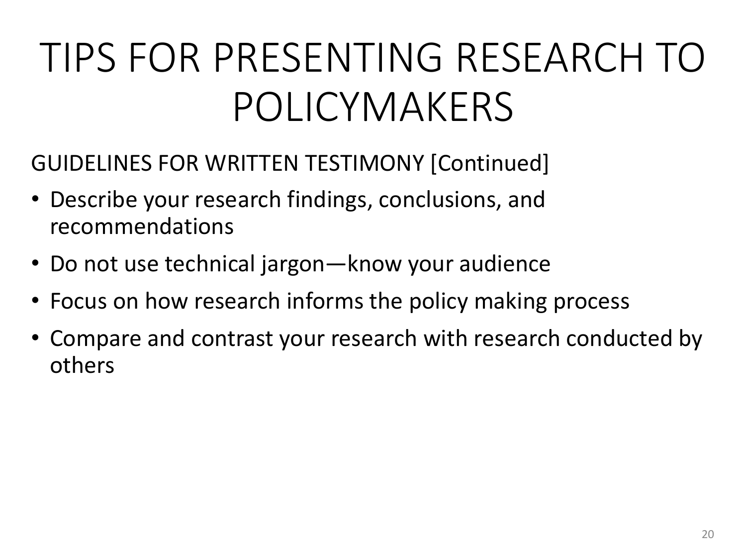## TIPS FOR PRESENTING RESEARCH TO POLICYMAKERS

- GUIDELINES FOR WRITTEN TESTIMONY [Continued]
- Describe your research findings, conclusions, and recommendations
- Do not use technical jargon—know your audience
- Focus on how research informs the policy making process
- Compare and contrast your research with research conducted by others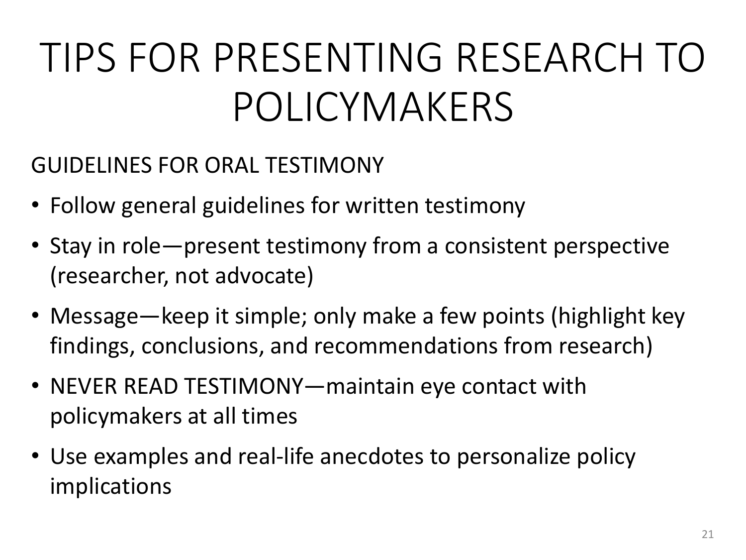## TIPS FOR PRESENTING RESEARCH TO POLICYMAKERS

GUIDELINES FOR ORAL TESTIMONY

- Follow general guidelines for written testimony
- Stay in role—present testimony from a consistent perspective (researcher, not advocate)
- Message—keep it simple; only make a few points (highlight key findings, conclusions, and recommendations from research)
- NEVER READ TESTIMONY—maintain eye contact with policymakers at all times
- Use examples and real-life anecdotes to personalize policy implications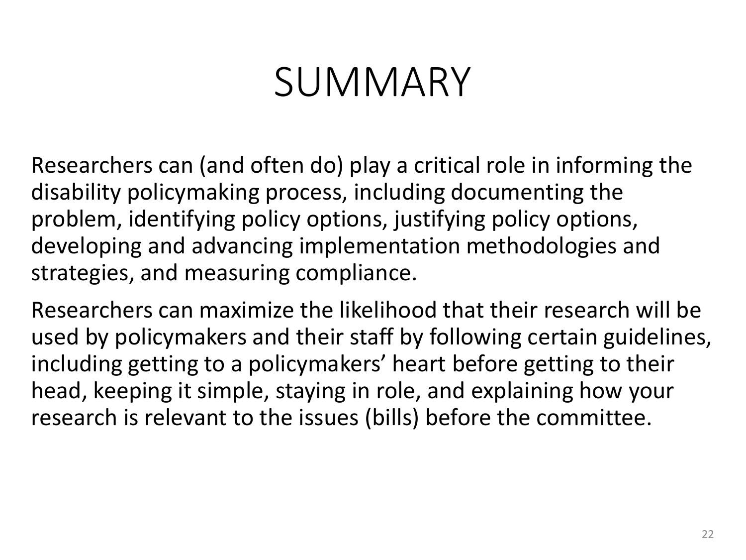#### SUMMARY

Researchers can (and often do) play a critical role in informing the disability policymaking process, including documenting the problem, identifying policy options, justifying policy options, developing and advancing implementation methodologies and strategies, and measuring compliance.

Researchers can maximize the likelihood that their research will be used by policymakers and their staff by following certain guidelines, including getting to a policymakers' heart before getting to their head, keeping it simple, staying in role, and explaining how your research is relevant to the issues (bills) before the committee.